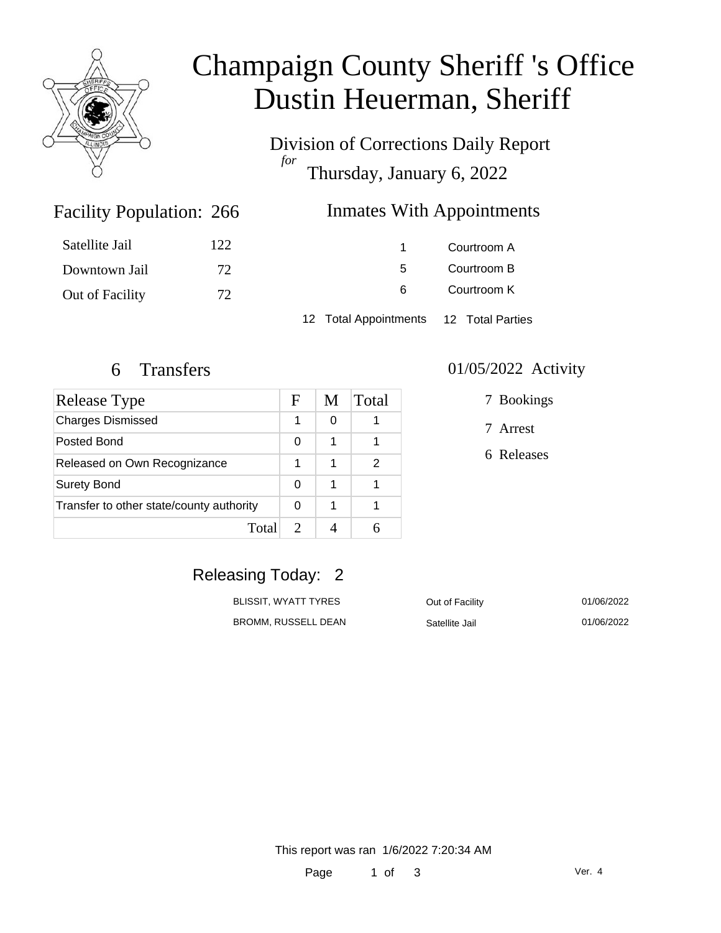

# Champaign County Sheriff 's Office Dustin Heuerman, Sheriff

Division of Corrections Daily Report *for* Thursday, January 6, 2022

### Inmates With Appointments

| Satellite Jail  | 122. |                                        | Courtroom A |
|-----------------|------|----------------------------------------|-------------|
| Downtown Jail   | 72   | 5.                                     | Courtroom B |
| Out of Facility | 72   | 6                                      | Courtroom K |
|                 |      | 12 Total Appointments 12 Total Parties |             |

Facility Population: 266

| <b>Release Type</b>                      | F | M | Total |
|------------------------------------------|---|---|-------|
| <b>Charges Dismissed</b>                 | 1 | 0 |       |
| Posted Bond                              | 0 |   |       |
| Released on Own Recognizance             |   |   | 2     |
| <b>Surety Bond</b>                       |   | 1 |       |
| Transfer to other state/county authority |   | 1 |       |
| Total                                    |   |   |       |

#### 6 Transfers 01/05/2022 Activity

7 Bookings

7 Arrest

6 Releases

### Releasing Today: 2

| <b>BLISSIT. WYATT TYRES</b> |  |
|-----------------------------|--|
| <b>BROMM, RUSSELL DEAN</b>  |  |

Dut of Facility 01/06/2022 Satellite Jail 01/06/2022

This report was ran 1/6/2022 7:20:34 AM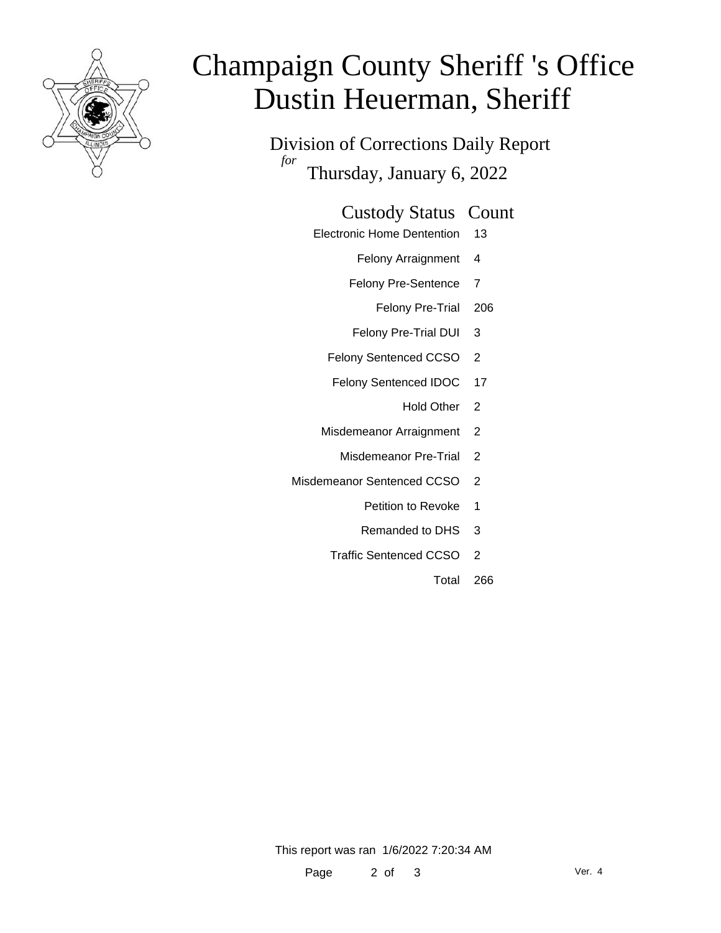

# Champaign County Sheriff 's Office Dustin Heuerman, Sheriff

Division of Corrections Daily Report *for* Thursday, January 6, 2022

#### Custody Status Count

- Electronic Home Dentention 13
	- Felony Arraignment 4
	- Felony Pre-Sentence 7
		- Felony Pre-Trial 206
	- Felony Pre-Trial DUI 3
	- Felony Sentenced CCSO 2
	- Felony Sentenced IDOC 17
		- Hold Other 2
	- Misdemeanor Arraignment 2
		- Misdemeanor Pre-Trial 2
- Misdemeanor Sentenced CCSO 2
	- Petition to Revoke 1
	- Remanded to DHS 3
	- Traffic Sentenced CCSO 2
		- Total 266

This report was ran 1/6/2022 7:20:34 AM